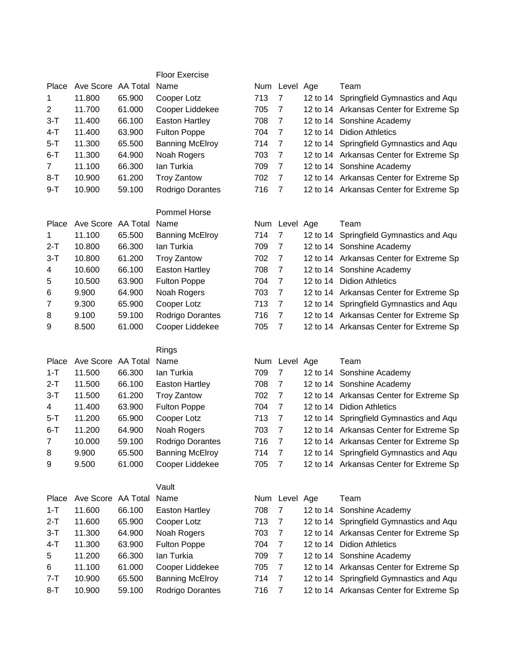|                |                    |        | <b>Floor Exercise</b>  |     |                |          |                                         |
|----------------|--------------------|--------|------------------------|-----|----------------|----------|-----------------------------------------|
| Place          | Ave Score AA Total |        | Name                   |     | Num Level Age  |          | Team                                    |
| 1              | 11.800             | 65.900 | Cooper Lotz            | 713 | $\overline{7}$ | 12 to 14 | Springfield Gymnastics and Aqu          |
| $\overline{2}$ | 11.700             | 61.000 | Cooper Liddekee        | 705 | $\overline{7}$ |          | 12 to 14 Arkansas Center for Extreme Sp |
| 3-T            | 11.400             | 66.100 | <b>Easton Hartley</b>  | 708 | $\overline{7}$ |          | 12 to 14 Sonshine Academy               |
| $4 - T$        | 11.400             | 63.900 | <b>Fulton Poppe</b>    | 704 | $\overline{7}$ |          | 12 to 14 Didion Athletics               |
| $5 - T$        | 11.300             | 65.500 | <b>Banning McElroy</b> | 714 | $\overline{7}$ |          | 12 to 14 Springfield Gymnastics and Aqu |
| $6 - T$        | 11.300             | 64.900 | Noah Rogers            | 703 | $\overline{7}$ |          | 12 to 14 Arkansas Center for Extreme Sp |
| $\overline{7}$ | 11.100             | 66.300 | lan Turkia             | 709 | $\overline{7}$ |          | 12 to 14 Sonshine Academy               |
|                | 10.900             | 61.200 | <b>Troy Zantow</b>     |     | $\overline{7}$ |          | 12 to 14 Arkansas Center for Extreme Sp |
| $8 - T$        |                    |        |                        | 702 | $\overline{7}$ |          |                                         |
| $9 - T$        | 10.900             | 59.100 | Rodrigo Dorantes       | 716 |                |          | 12 to 14 Arkansas Center for Extreme Sp |
|                |                    |        | Pommel Horse           |     |                |          |                                         |
| Place          | Ave Score AA Total |        | Name                   |     | Num Level Age  |          | Team                                    |
| 1              | 11.100             | 65.500 | <b>Banning McElroy</b> | 714 | $\overline{7}$ | 12 to 14 | Springfield Gymnastics and Aqu          |
| $2 - T$        | 10.800             | 66.300 | lan Turkia             | 709 | $\overline{7}$ |          | 12 to 14 Sonshine Academy               |
| $3 - T$        | 10.800             | 61.200 | <b>Troy Zantow</b>     | 702 | $\overline{7}$ |          | 12 to 14 Arkansas Center for Extreme Sp |
| 4              | 10.600             | 66.100 | <b>Easton Hartley</b>  | 708 | $\overline{7}$ |          | 12 to 14 Sonshine Academy               |
| 5              | 10.500             | 63.900 | <b>Fulton Poppe</b>    | 704 | $\overline{7}$ |          | 12 to 14 Didion Athletics               |
| 6              | 9.900              | 64.900 | Noah Rogers            | 703 | $\overline{7}$ |          | 12 to 14 Arkansas Center for Extreme Sp |
| 7              | 9.300              | 65.900 | Cooper Lotz            | 713 | $\overline{7}$ |          | 12 to 14 Springfield Gymnastics and Aqu |
| 8              | 9.100              | 59.100 | Rodrigo Dorantes       | 716 | $\overline{7}$ |          | 12 to 14 Arkansas Center for Extreme Sp |
| 9              | 8.500              | 61.000 | Cooper Liddekee        | 705 | $\overline{7}$ |          | 12 to 14 Arkansas Center for Extreme Sp |
|                |                    |        |                        |     |                |          |                                         |
|                |                    |        | Rings                  |     |                |          |                                         |
| Place          | Ave Score AA Total |        | Name                   |     | Num Level Age  |          | Team                                    |
| $1 - T$        | 11.500             | 66.300 | lan Turkia             | 709 | 7              |          | 12 to 14 Sonshine Academy               |
| $2 - T$        | 11.500             | 66.100 | <b>Easton Hartley</b>  | 708 | $\overline{7}$ |          | 12 to 14 Sonshine Academy               |
| $3-T$          | 11.500             | 61.200 | <b>Troy Zantow</b>     | 702 | $\overline{7}$ |          | 12 to 14 Arkansas Center for Extreme Sp |
| 4              | 11.400             | 63.900 | <b>Fulton Poppe</b>    | 704 | $\overline{7}$ |          | 12 to 14 Didion Athletics               |
| 5-T            | 11.200             | 65.900 | Cooper Lotz            | 713 | $\overline{7}$ |          | 12 to 14 Springfield Gymnastics and Aqu |
| $6 - T$        | 11.200             | 64.900 | Noah Rogers            | 703 | 7              |          | 12 to 14 Arkansas Center for Extreme Sp |
| $\overline{7}$ | 10.000             | 59.100 | Rodrigo Dorantes       | 716 | $\overline{7}$ |          | 12 to 14 Arkansas Center for Extreme Sp |
| 8              | 9.900              | 65.500 | <b>Banning McElroy</b> | 714 | $\overline{7}$ |          | 12 to 14 Springfield Gymnastics and Aqu |
| 9              | 9.500              | 61.000 | Cooper Liddekee        | 705 | $\overline{7}$ |          | 12 to 14 Arkansas Center for Extreme Sp |
|                |                    |        |                        |     |                |          |                                         |
|                |                    |        | Vault                  |     |                |          |                                         |
| Place          | Ave Score AA Total |        | Name                   |     | Num Level Age  |          | Team                                    |
| $1 - T$        | 11.600             | 66.100 | <b>Easton Hartley</b>  | 708 | 7              |          | 12 to 14 Sonshine Academy               |
| $2-T$          | 11.600             | 65.900 | Cooper Lotz            | 713 | $\overline{7}$ |          | 12 to 14 Springfield Gymnastics and Aqu |
| $3 - T$        | 11.300             | 64.900 | Noah Rogers            | 703 | $\overline{7}$ |          | 12 to 14 Arkansas Center for Extreme Sp |
| $4 - T$        | 11.300             | 63.900 | <b>Fulton Poppe</b>    | 704 | $\overline{7}$ |          | 12 to 14 Didion Athletics               |
| $\mathbf 5$    | 11.200             | 66.300 | lan Turkia             | 709 | $\overline{7}$ |          | 12 to 14 Sonshine Academy               |
| 6              | 11.100             | 61.000 | Cooper Liddekee        | 705 | $\overline{7}$ |          | 12 to 14 Arkansas Center for Extreme Sp |
| $7 - T$        | 10.900             | 65.500 | <b>Banning McElroy</b> | 714 | $\overline{7}$ |          | 12 to 14 Springfield Gymnastics and Aqu |
| $8 - T$        | 10.900             | 59.100 | Rodrigo Dorantes       | 716 | $\overline{7}$ |          | 12 to 14 Arkansas Center for Extreme Sp |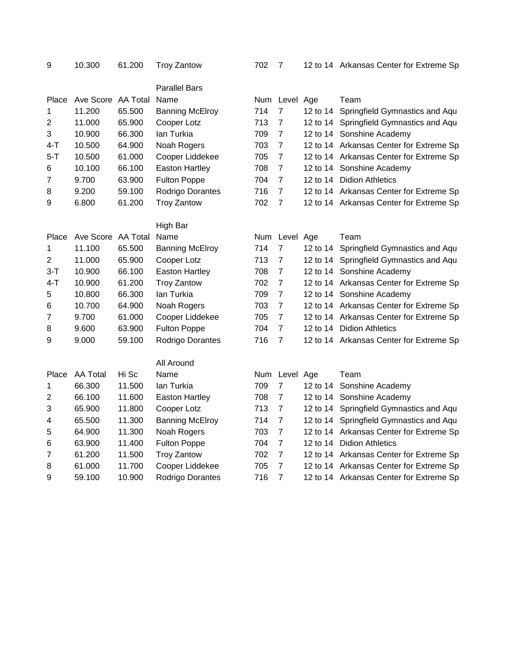|                  |                    |        | <b>Parallel Bars</b>   |     |                |          |                                         |
|------------------|--------------------|--------|------------------------|-----|----------------|----------|-----------------------------------------|
| Place            | Ave Score AA Total |        | Name                   |     | Num Level Age  |          | Team                                    |
| 1                | 11.200             | 65.500 | <b>Banning McElroy</b> | 714 | $\overline{7}$ | 12 to 14 | Springfield Gymnastics and Aqu          |
| $\mathbf 2$      | 11.000             | 65.900 | Cooper Lotz            | 713 | $\overline{7}$ |          | 12 to 14 Springfield Gymnastics and Aqu |
| 3                | 10.900             | 66.300 | lan Turkia             | 709 | $\overline{7}$ |          | 12 to 14 Sonshine Academy               |
| $4 - T$          | 10.500             | 64.900 | Noah Rogers            | 703 | $\overline{7}$ |          | 12 to 14 Arkansas Center for Extreme Sp |
| $5 - T$          | 10.500             | 61.000 | Cooper Liddekee        | 705 | $\overline{7}$ |          | 12 to 14 Arkansas Center for Extreme Sp |
| 6                | 10.100             | 66.100 | <b>Easton Hartley</b>  | 708 | $\overline{7}$ |          | 12 to 14 Sonshine Academy               |
| $\overline{7}$   | 9.700              | 63.900 | <b>Fulton Poppe</b>    | 704 | $\overline{7}$ |          | 12 to 14 Didion Athletics               |
| 8                | 9.200              | 59.100 | Rodrigo Dorantes       | 716 | $\overline{7}$ |          | 12 to 14 Arkansas Center for Extreme Sp |
| 9                | 6.800              | 61.200 | <b>Troy Zantow</b>     | 702 | $\overline{7}$ |          | 12 to 14 Arkansas Center for Extreme Sp |
|                  |                    |        | High Bar               |     |                |          |                                         |
| Place            | Ave Score AA Total |        | Name                   |     | Num Level Age  |          | Team                                    |
| 1                | 11.100             | 65.500 | <b>Banning McElroy</b> | 714 | $\overline{7}$ |          | 12 to 14 Springfield Gymnastics and Aqu |
| $\overline{2}$   | 11.000             | 65.900 | Cooper Lotz            | 713 | $\overline{7}$ |          | 12 to 14 Springfield Gymnastics and Aqu |
| $3 - T$          | 10.900             | 66.100 | <b>Easton Hartley</b>  | 708 | $\overline{7}$ |          | 12 to 14 Sonshine Academy               |
| $4-T$            | 10.900             | 61.200 | <b>Troy Zantow</b>     | 702 | $\overline{7}$ |          | 12 to 14 Arkansas Center for Extreme Sp |
| 5                | 10.800             | 66.300 | lan Turkia             | 709 | $\overline{7}$ |          | 12 to 14 Sonshine Academy               |
| 6                | 10.700             | 64.900 | Noah Rogers            | 703 | $\overline{7}$ |          | 12 to 14 Arkansas Center for Extreme Sp |
| $\overline{7}$   | 9.700              | 61.000 | Cooper Liddekee        | 705 | $\overline{7}$ |          | 12 to 14 Arkansas Center for Extreme Sp |
| 8                | 9.600              | 63.900 | <b>Fulton Poppe</b>    | 704 | $\overline{7}$ |          | 12 to 14 Didion Athletics               |
| 9                | 9.000              | 59.100 | Rodrigo Dorantes       | 716 | $\overline{7}$ |          | 12 to 14 Arkansas Center for Extreme Sp |
|                  |                    |        | All Around             |     |                |          |                                         |
| Place            | <b>AA Total</b>    | Hi Sc  | Name                   |     | Num Level Age  |          | Team                                    |
| 1                | 66.300             | 11.500 | lan Turkia             | 709 | $\overline{7}$ |          | 12 to 14 Sonshine Academy               |
| $\boldsymbol{2}$ | 66.100             | 11.600 | <b>Easton Hartley</b>  | 708 | $\overline{7}$ |          | 12 to 14 Sonshine Academy               |
| 3                | 65.900             | 11.800 | Cooper Lotz            | 713 | $\overline{7}$ |          | 12 to 14 Springfield Gymnastics and Aqu |
| 4                | 65.500             | 11.300 | <b>Banning McElroy</b> | 714 | $\overline{7}$ |          | 12 to 14 Springfield Gymnastics and Aqu |
| 5                | 64.900             | 11.300 | Noah Rogers            | 703 | $\overline{7}$ |          | 12 to 14 Arkansas Center for Extreme Sp |
| 6                | 63.900             | 11.400 | <b>Fulton Poppe</b>    | 704 | $\overline{7}$ |          | 12 to 14 Didion Athletics               |
| $\overline{7}$   | 61.200             | 11.500 | <b>Troy Zantow</b>     | 702 | $\overline{7}$ |          | 12 to 14 Arkansas Center for Extreme Sp |
| 8                | 61.000             | 11.700 | Cooper Liddekee        | 705 | $\overline{7}$ |          | 12 to 14 Arkansas Center for Extreme Sp |
| 9                | 59.100             | 10.900 | Rodrigo Dorantes       | 716 | $\overline{7}$ |          | 12 to 14 Arkansas Center for Extreme Sp |
|                  |                    |        |                        |     |                |          |                                         |

10.300 61.200 Troy Zantow 702 7 12 to 14 Arkansas Center for Extreme Sp